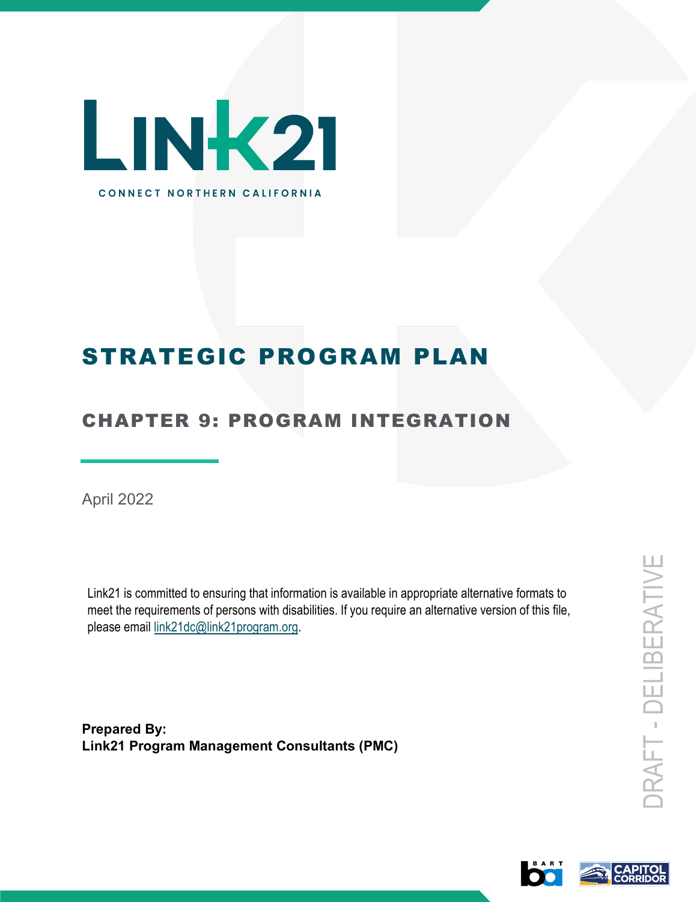

# STRATEGIC PROGRAM PLAN

## CHAPTER 9: PROGRAM INTEGRATION

April 2022

Link21 is committed to ensuring that information is available in appropriate alternative formats to meet the requirements of persons with disabilities. If you require an alternative version of this file, please email link21dc@link21program.org.

**Prepared By: Link21 Program Management Consultants (PMC)**

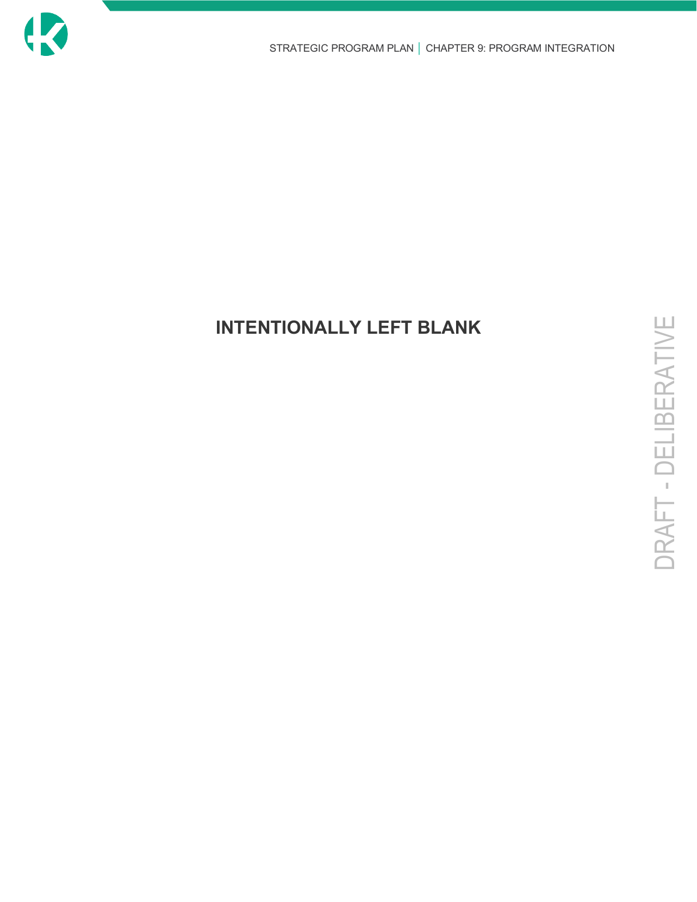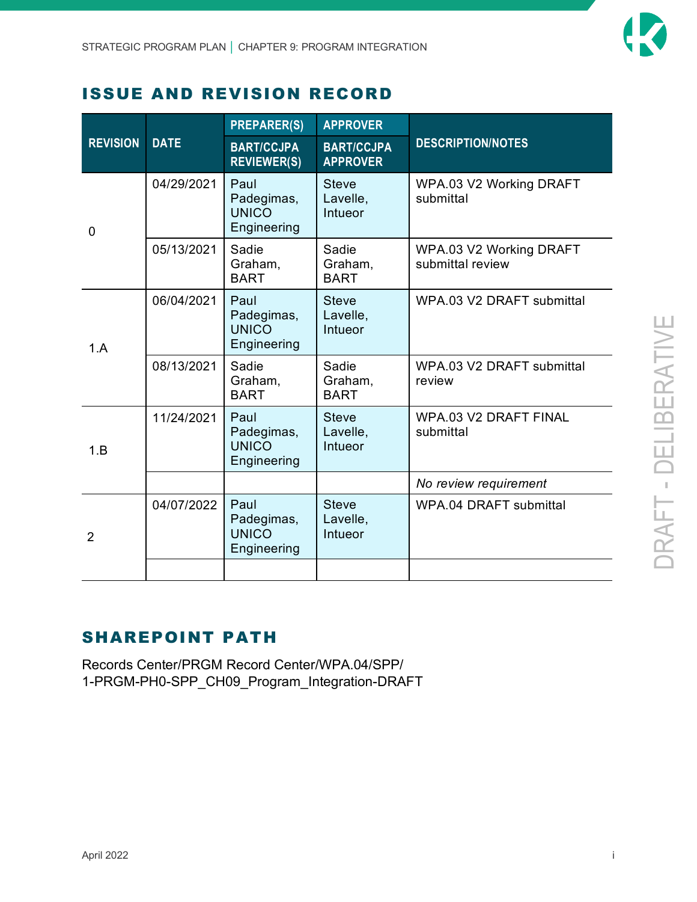

### ISSUE AND REVISION RECORD

| <b>REVISION</b> | <b>DATE</b> | <b>PREPARER(S)</b>                                | <b>APPROVER</b>                      | <b>DESCRIPTION/NOTES</b>                    |
|-----------------|-------------|---------------------------------------------------|--------------------------------------|---------------------------------------------|
|                 |             | <b>BART/CCJPA</b><br><b>REVIEWER(S)</b>           | <b>BART/CCJPA</b><br><b>APPROVER</b> |                                             |
| 0               | 04/29/2021  | Paul<br>Padegimas,<br><b>UNICO</b><br>Engineering | <b>Steve</b><br>Lavelle,<br>Intueor  | WPA.03 V2 Working DRAFT<br>submittal        |
|                 | 05/13/2021  | Sadie<br>Graham,<br><b>BART</b>                   | Sadie<br>Graham,<br><b>BART</b>      | WPA.03 V2 Working DRAFT<br>submittal review |
| 1.A             | 06/04/2021  | Paul<br>Padegimas,<br><b>UNICO</b><br>Engineering | <b>Steve</b><br>Lavelle,<br>Intueor  | WPA.03 V2 DRAFT submittal                   |
|                 | 08/13/2021  | Sadie<br>Graham,<br><b>BART</b>                   | Sadie<br>Graham,<br><b>BART</b>      | WPA.03 V2 DRAFT submittal<br>review         |
| 1.B             | 11/24/2021  | Paul<br>Padegimas,<br><b>UNICO</b><br>Engineering | <b>Steve</b><br>Lavelle,<br>Intueor  | WPA.03 V2 DRAFT FINAL<br>submittal          |
|                 |             |                                                   |                                      | No review requirement                       |
| 2               | 04/07/2022  | Paul<br>Padegimas,<br><b>UNICO</b><br>Engineering | <b>Steve</b><br>Lavelle,<br>Intueor  | <b>WPA.04 DRAFT submittal</b>               |
|                 |             |                                                   |                                      |                                             |

### SHAREPOINT PATH

Records Center/PRGM Record Center/WPA.04/SPP/ 1-PRGM-PH0-SPP\_CH09\_Program\_Integration-DRAFT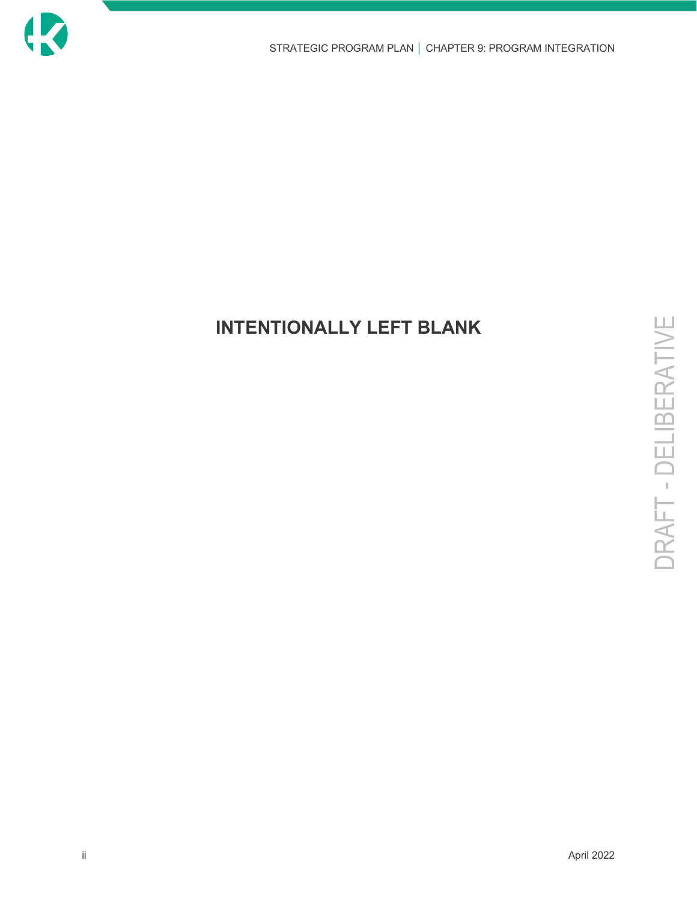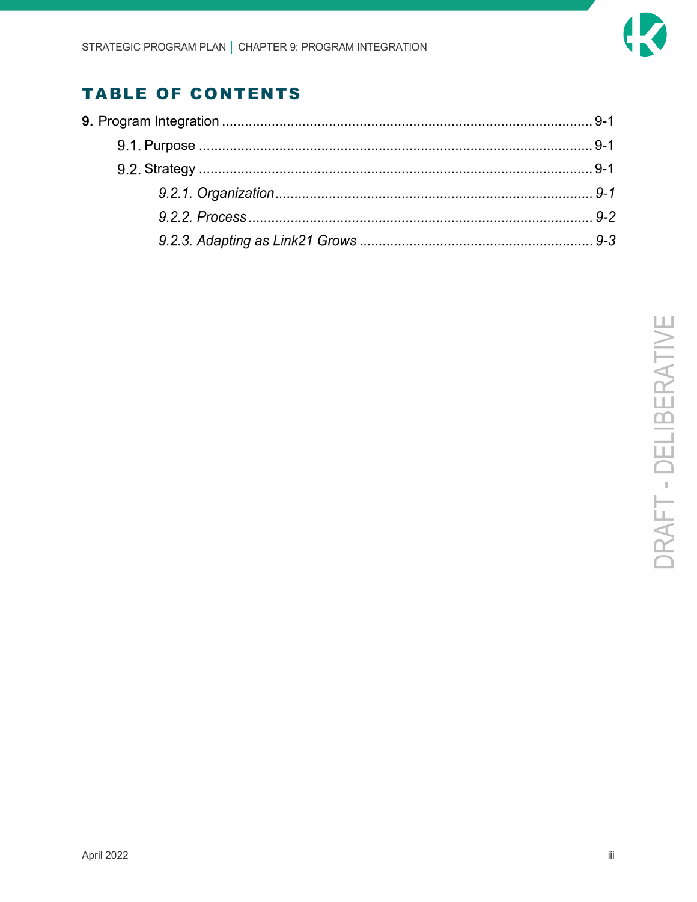

### **TABLE OF CONTENTS**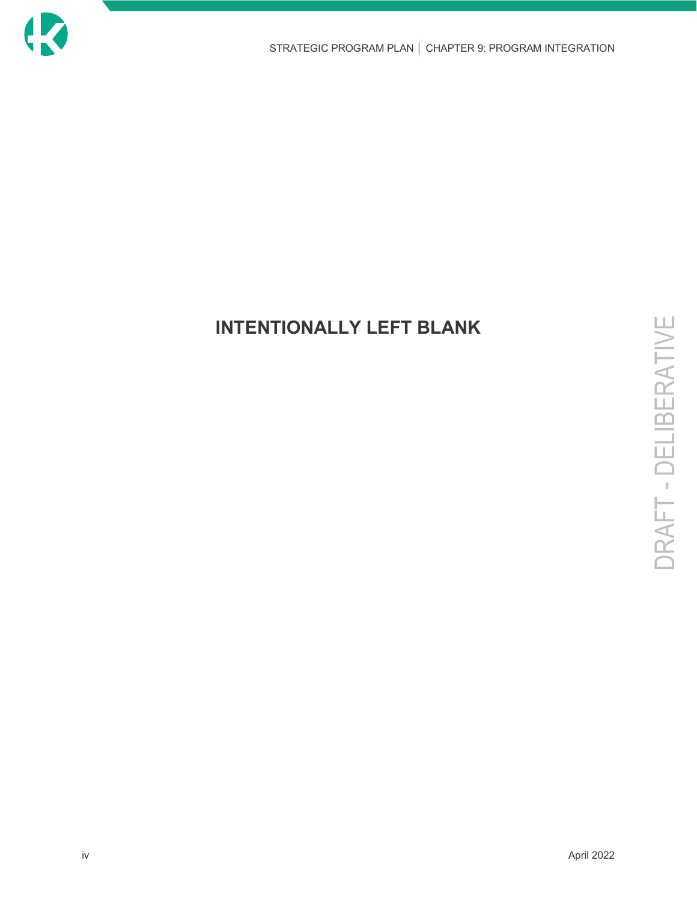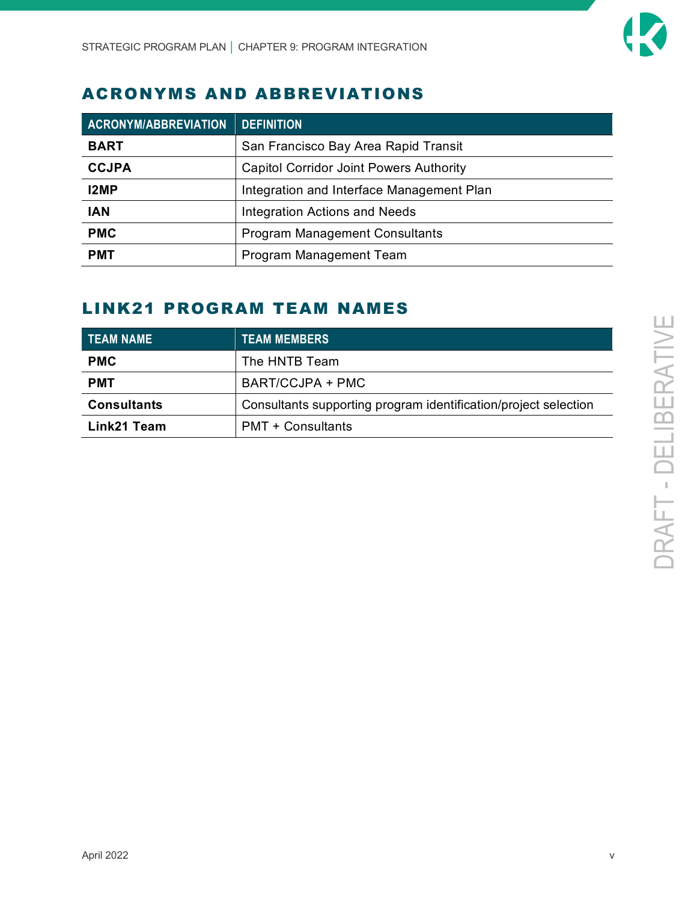

### ACRONYMS AND ABBREVIATIONS

| <b>ACRONYM/ABBREVIATION</b> | <b>DEFINITION</b>                              |
|-----------------------------|------------------------------------------------|
| <b>BART</b>                 | San Francisco Bay Area Rapid Transit           |
| <b>CCJPA</b>                | <b>Capitol Corridor Joint Powers Authority</b> |
| 12MP                        | Integration and Interface Management Plan      |
| <b>IAN</b>                  | Integration Actions and Needs                  |
| <b>PMC</b>                  | <b>Program Management Consultants</b>          |
| <b>PMT</b>                  | Program Management Team                        |

### LINK21 PROGRAM TEAM NAMES

| <b>TEAM MEMBERS</b>                                             |  |
|-----------------------------------------------------------------|--|
| The HNTB Team                                                   |  |
| <b>BART/CCJPA + PMC</b>                                         |  |
| Consultants supporting program identification/project selection |  |
| <b>PMT + Consultants</b>                                        |  |
|                                                                 |  |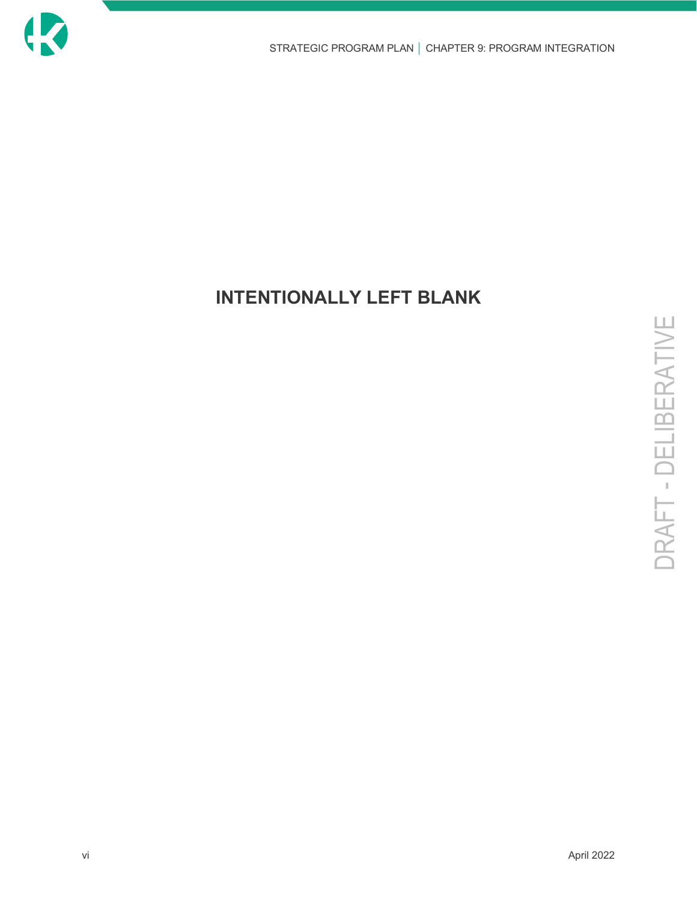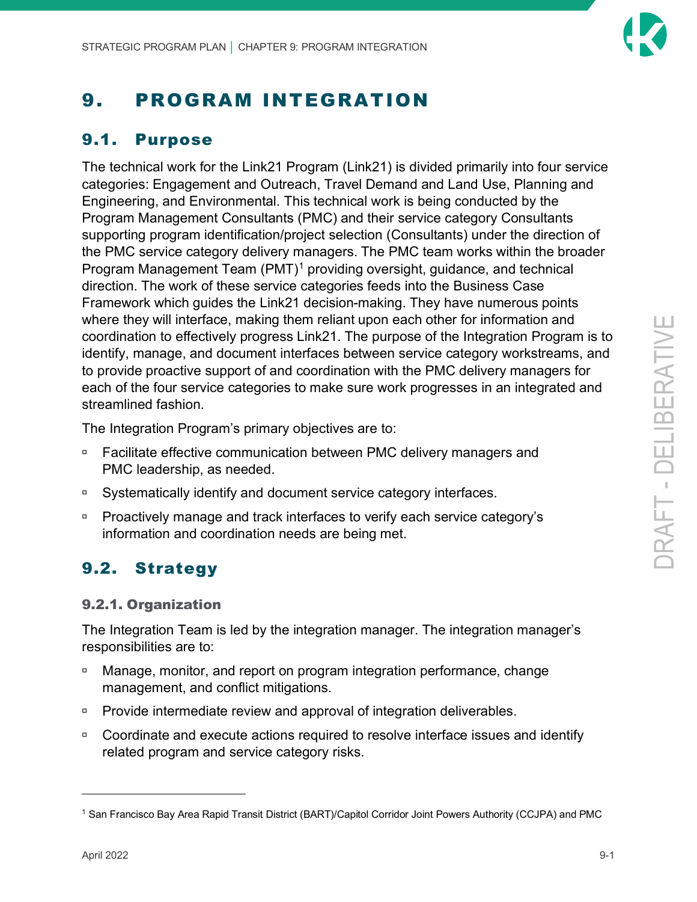

## <span id="page-8-0"></span>9. PROGRAM INTEGRATION

### <span id="page-8-1"></span>9.1. Purpose

The technical work for the Link21 Program (Link21) is divided primarily into four service categories: Engagement and Outreach, Travel Demand and Land Use, Planning and Engineering, and Environmental. This technical work is being conducted by the Program Management Consultants (PMC) and their service category Consultants supporting program identification/project selection (Consultants) under the direction of the PMC service category delivery managers. The PMC team works within the broader Program Management Team  $(PMT)^1$  $(PMT)^1$  providing oversight, guidance, and technical direction. The work of these service categories feeds into the Business Case Framework which guides the Link21 decision-making. They have numerous points where they will interface, making them reliant upon each other for information and coordination to effectively progress Link21. The purpose of the Integration Program is to identify, manage, and document interfaces between service category workstreams, and to provide proactive support of and coordination with the PMC delivery managers for each of the four service categories to make sure work progresses in an integrated and streamlined fashion.

The Integration Program's primary objectives are to:

- □ Facilitate effective communication between PMC delivery managers and PMC leadership, as needed.
- □ Systematically identify and document service category interfaces.
- Proactively manage and track interfaces to verify each service category's information and coordination needs are being met.

## <span id="page-8-2"></span>9.2. Strategy

### 9.2.1. Organization

The Integration Team is led by the integration manager. The integration manager's responsibilities are to:

- <sup>n</sup> Manage, monitor, and report on program integration performance, change management, and conflict mitigations.
- □ Provide intermediate review and approval of integration deliverables.
- □ Coordinate and execute actions required to resolve interface issues and identify related program and service category risks.

<span id="page-8-3"></span><sup>1</sup> San Francisco Bay Area Rapid Transit District (BART)/Capitol Corridor Joint Powers Authority (CCJPA) and PMC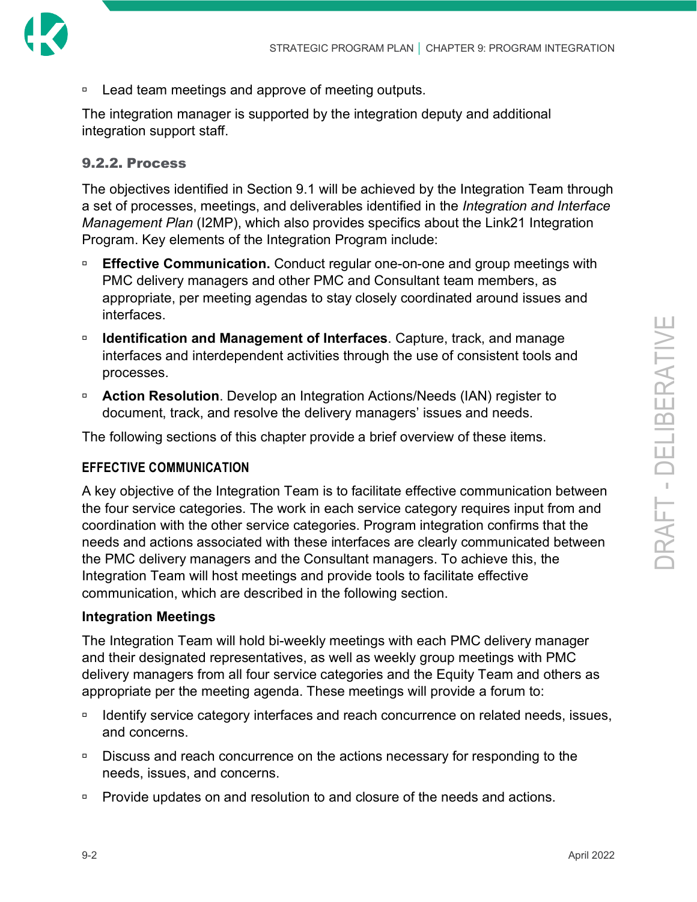

Lead team meetings and approve of meeting outputs.

The integration manager is supported by the integration deputy and additional integration support staff.

#### 9.2.2. Process

The objectives identified in Section [9.1](#page-8-1) will be achieved by the Integration Team through a set of processes, meetings, and deliverables identified in the *Integration and Interface Management Plan* (I2MP), which also provides specifics about the Link21 Integration Program. Key elements of the Integration Program include:

- **Effective Communication.** Conduct regular one-on-one and group meetings with PMC delivery managers and other PMC and Consultant team members, as appropriate, per meeting agendas to stay closely coordinated around issues and interfaces.
- **Identification and Management of Interfaces**. Capture, track, and manage interfaces and interdependent activities through the use of consistent tools and processes.
- **Action Resolution**. Develop an Integration Actions/Needs (IAN) register to document, track, and resolve the delivery managers' issues and needs.

The following sections of this chapter provide a brief overview of these items.

#### **EFFECTIVE COMMUNICATION**

A key objective of the Integration Team is to facilitate effective communication between the four service categories. The work in each service category requires input from and coordination with the other service categories. Program integration confirms that the needs and actions associated with these interfaces are clearly communicated between the PMC delivery managers and the Consultant managers. To achieve this, the Integration Team will host meetings and provide tools to facilitate effective communication, which are described in the following section.

#### **Integration Meetings**

The Integration Team will hold bi-weekly meetings with each PMC delivery manager and their designated representatives, as well as weekly group meetings with PMC delivery managers from all four service categories and the Equity Team and others as appropriate per the meeting agenda. These meetings will provide a forum to:

- <sup>n</sup> Identify service category interfaces and reach concurrence on related needs, issues, and concerns.
- □ Discuss and reach concurrence on the actions necessary for responding to the needs, issues, and concerns.
- Provide updates on and resolution to and closure of the needs and actions.